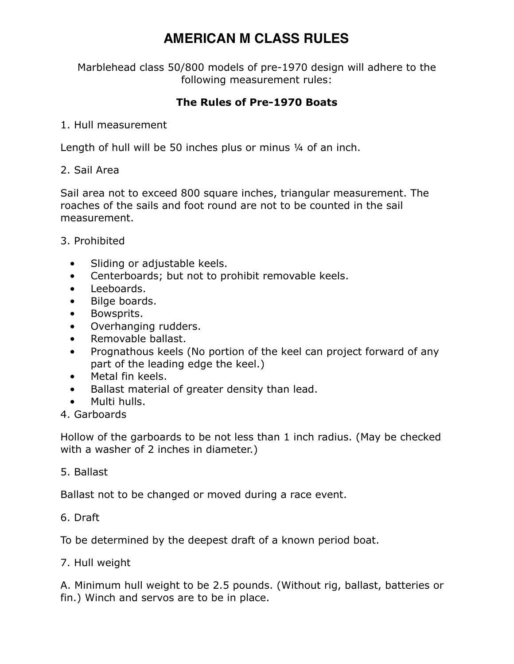# **AMERICAN M CLASS RULES**

Marblehead class 50/800 models of pre-1970 design will adhere to the following measurement rules:

## **The Rules of Pre-1970 Boats**

#### 1. Hull measurement

Length of hull will be 50 inches plus or minus 1/4 of an inch.

#### 2. Sail Area

Sail area not to exceed 800 square inches, triangular measurement. The roaches of the sails and foot round are not to be counted in the sail measurement.

### 3. Prohibited

- Sliding or adjustable keels.
- Centerboards; but not to prohibit removable keels.
- Leeboards.
- Bilge boards.
- Bowsprits.
- Overhanging rudders.
- Removable ballast.
- Prognathous keels (No portion of the keel can project forward of any part of the leading edge the keel.)
- Metal fin keels.
- Ballast material of greater density than lead.
- Multi hulls.
- 4. Garboards

Hollow of the garboards to be not less than 1 inch radius. (May be checked with a washer of 2 inches in diameter.)

#### 5. Ballast

Ballast not to be changed or moved during a race event.

#### 6. Draft

To be determined by the deepest draft of a known period boat.

#### 7. Hull weight

A. Minimum hull weight to be 2.5 pounds. (Without rig, ballast, batteries or fin.) Winch and servos are to be in place.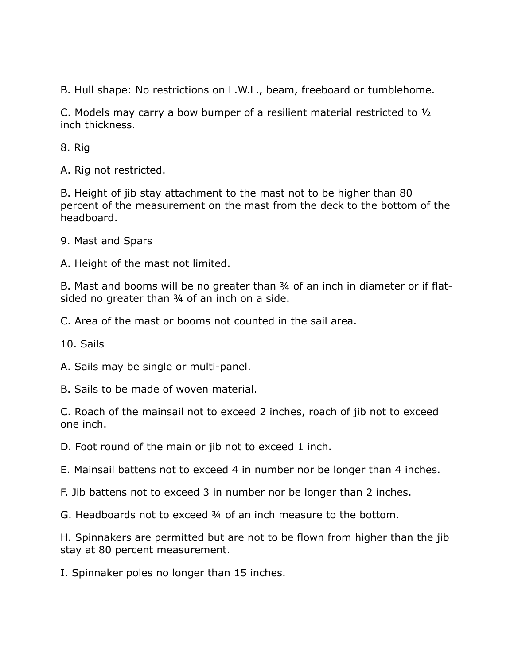B. Hull shape: No restrictions on L.W.L., beam, freeboard or tumblehome.

C. Models may carry a bow bumper of a resilient material restricted to ½ inch thickness.

8. Rig

A. Rig not restricted.

B. Height of jib stay attachment to the mast not to be higher than 80 percent of the measurement on the mast from the deck to the bottom of the headboard.

9. Mast and Spars

A. Height of the mast not limited.

B. Mast and booms will be no greater than ¾ of an inch in diameter or if flatsided no greater than 34 of an inch on a side.

C. Area of the mast or booms not counted in the sail area.

10. Sails

A. Sails may be single or multi-panel.

B. Sails to be made of woven material.

C. Roach of the mainsail not to exceed 2 inches, roach of jib not to exceed one inch.

D. Foot round of the main or jib not to exceed 1 inch.

E. Mainsail battens not to exceed 4 in number nor be longer than 4 inches.

F. Jib battens not to exceed 3 in number nor be longer than 2 inches.

G. Headboards not to exceed ¾ of an inch measure to the bottom.

H. Spinnakers are permitted but are not to be flown from higher than the jib stay at 80 percent measurement.

I. Spinnaker poles no longer than 15 inches.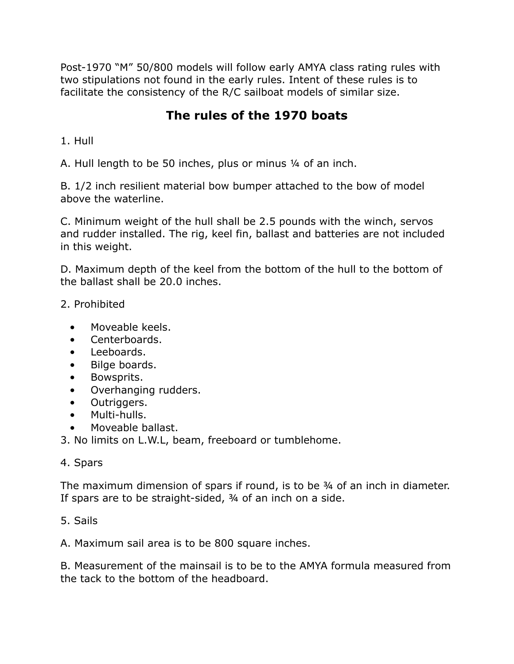Post-1970 "M" 50/800 models will follow early AMYA class rating rules with two stipulations not found in the early rules. Intent of these rules is to facilitate the consistency of the R/C sailboat models of similar size.

# **The rules of the 1970 boats**

1. Hull

A. Hull length to be 50 inches, plus or minus ¼ of an inch.

B. 1/2 inch resilient material bow bumper attached to the bow of model above the waterline.

C. Minimum weight of the hull shall be 2.5 pounds with the winch, servos and rudder installed. The rig, keel fin, ballast and batteries are not included in this weight.

D. Maximum depth of the keel from the bottom of the hull to the bottom of the ballast shall be 20.0 inches.

- 2. Prohibited
	- Moveable keels.
	- Centerboards.
	- Leeboards.
	- Bilge boards.
	- Bowsprits.
	- Overhanging rudders.
	- Outriggers.
	- Multi-hulls.
	- Moveable ballast.

3. No limits on L.W.L, beam, freeboard or tumblehome.

#### 4. Spars

The maximum dimension of spars if round, is to be ¾ of an inch in diameter. If spars are to be straight-sided, ¾ of an inch on a side.

### 5. Sails

A. Maximum sail area is to be 800 square inches.

B. Measurement of the mainsail is to be to the AMYA formula measured from the tack to the bottom of the headboard.